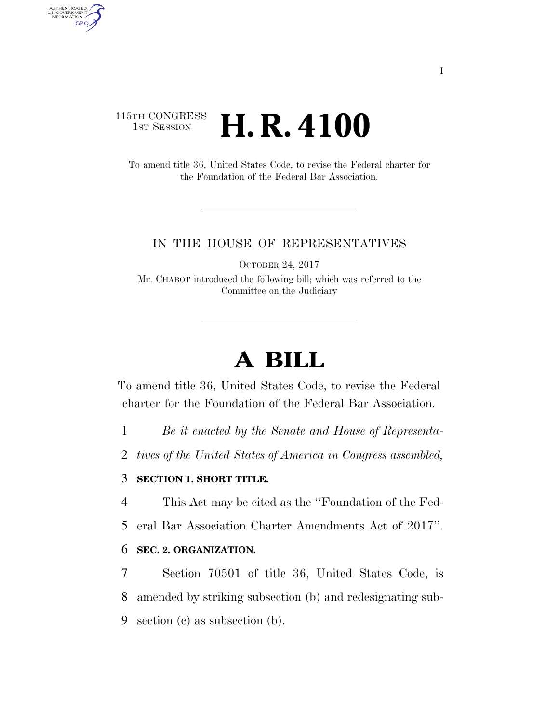### 115TH CONGRESS **1st Session H. R. 4100**

AUTHENTICATED<br>U.S. GOVERNMENT<br>INFORMATION

**GPO** 

To amend title 36, United States Code, to revise the Federal charter for the Foundation of the Federal Bar Association.

#### IN THE HOUSE OF REPRESENTATIVES

OCTOBER 24, 2017

Mr. CHABOT introduced the following bill; which was referred to the Committee on the Judiciary

# **A BILL**

To amend title 36, United States Code, to revise the Federal charter for the Foundation of the Federal Bar Association.

1 *Be it enacted by the Senate and House of Representa-*

2 *tives of the United States of America in Congress assembled,* 

#### 3 **SECTION 1. SHORT TITLE.**

4 This Act may be cited as the ''Foundation of the Fed-

5 eral Bar Association Charter Amendments Act of 2017''.

#### 6 **SEC. 2. ORGANIZATION.**

7 Section 70501 of title 36, United States Code, is 8 amended by striking subsection (b) and redesignating sub-9 section (c) as subsection (b).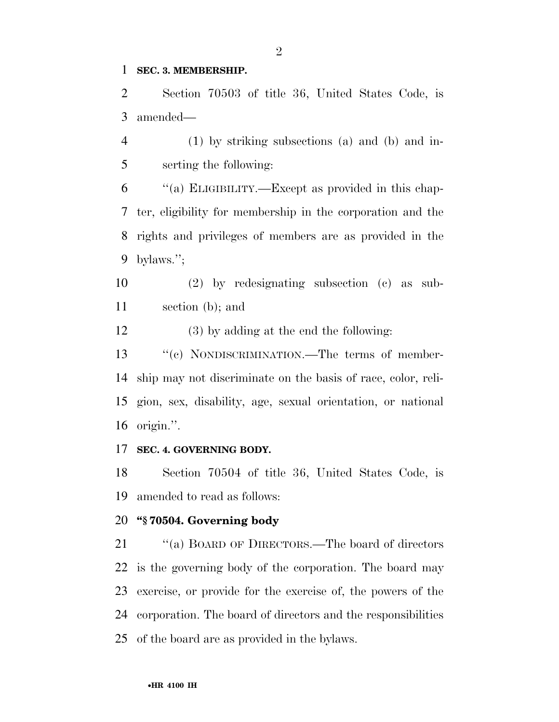#### **SEC. 3. MEMBERSHIP.**

 Section 70503 of title 36, United States Code, is amended—

 (1) by striking subsections (a) and (b) and in-serting the following:

 ''(a) ELIGIBILITY.—Except as provided in this chap- ter, eligibility for membership in the corporation and the rights and privileges of members are as provided in the bylaws.'';

 (2) by redesignating subsection (c) as sub-section (b); and

(3) by adding at the end the following:

13 "(c) NONDISCRIMINATION.—The terms of member- ship may not discriminate on the basis of race, color, reli- gion, sex, disability, age, sexual orientation, or national origin.''.

#### **SEC. 4. GOVERNING BODY.**

 Section 70504 of title 36, United States Code, is amended to read as follows:

#### **''§ 70504. Governing body**

21 "(a) BOARD OF DIRECTORS.—The board of directors is the governing body of the corporation. The board may exercise, or provide for the exercise of, the powers of the corporation. The board of directors and the responsibilities of the board are as provided in the bylaws.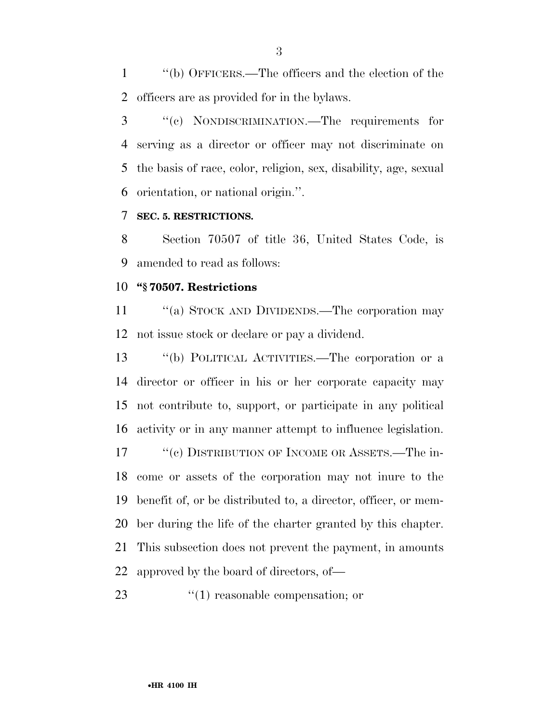''(b) OFFICERS.—The officers and the election of the officers are as provided for in the bylaws.

 ''(c) NONDISCRIMINATION.—The requirements for serving as a director or officer may not discriminate on the basis of race, color, religion, sex, disability, age, sexual orientation, or national origin.''.

#### **SEC. 5. RESTRICTIONS.**

 Section 70507 of title 36, United States Code, is amended to read as follows:

#### **''§ 70507. Restrictions**

11 "(a) STOCK AND DIVIDENDS.—The corporation may not issue stock or declare or pay a dividend.

 ''(b) POLITICAL ACTIVITIES.—The corporation or a director or officer in his or her corporate capacity may not contribute to, support, or participate in any political activity or in any manner attempt to influence legislation. 17 ''(c) DISTRIBUTION OF INCOME OR ASSETS.—The in- come or assets of the corporation may not inure to the benefit of, or be distributed to, a director, officer, or mem- ber during the life of the charter granted by this chapter. This subsection does not prevent the payment, in amounts approved by the board of directors, of—

23  $\frac{4}{1}$  reasonable compensation; or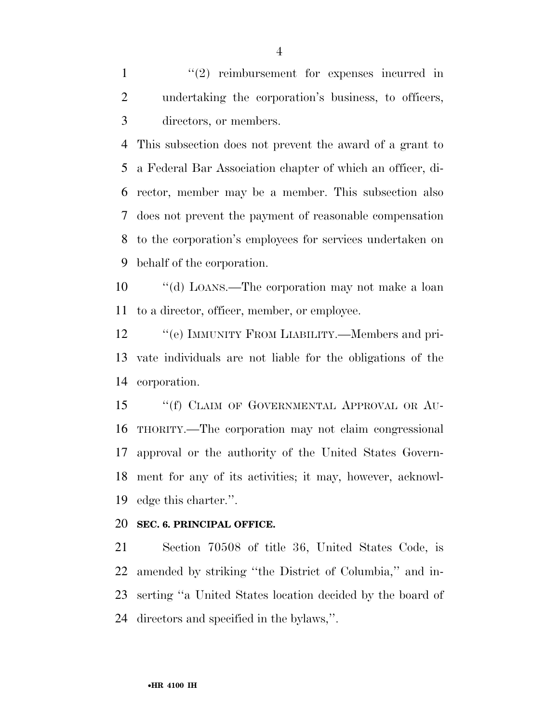1 ''(2) reimbursement for expenses incurred in undertaking the corporation's business, to officers, directors, or members.

 This subsection does not prevent the award of a grant to a Federal Bar Association chapter of which an officer, di- rector, member may be a member. This subsection also does not prevent the payment of reasonable compensation to the corporation's employees for services undertaken on behalf of the corporation.

 ''(d) LOANS.—The corporation may not make a loan to a director, officer, member, or employee.

12 "'(e) IMMUNITY FROM LIABILITY.—Members and pri- vate individuals are not liable for the obligations of the corporation.

15 "(f) CLAIM OF GOVERNMENTAL APPROVAL OR AU- THORITY.—The corporation may not claim congressional approval or the authority of the United States Govern- ment for any of its activities; it may, however, acknowl-edge this charter.''.

#### **SEC. 6. PRINCIPAL OFFICE.**

 Section 70508 of title 36, United States Code, is amended by striking ''the District of Columbia,'' and in- serting ''a United States location decided by the board of directors and specified in the bylaws,''.